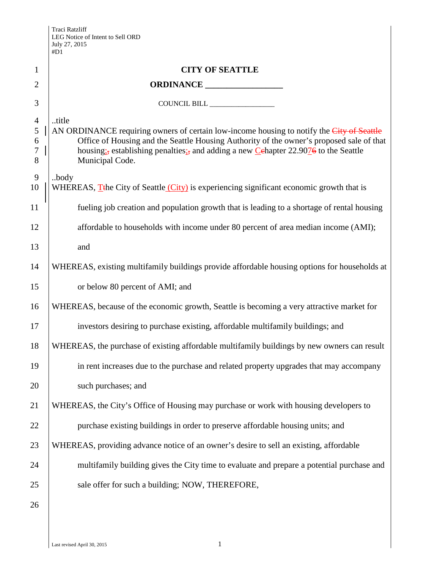|                                                             | #D1                                                                                                                                                                                                                                                                                                                                |  |  |
|-------------------------------------------------------------|------------------------------------------------------------------------------------------------------------------------------------------------------------------------------------------------------------------------------------------------------------------------------------------------------------------------------------|--|--|
| $\mathbf{1}$                                                | <b>CITY OF SEATTLE</b>                                                                                                                                                                                                                                                                                                             |  |  |
| $\overline{2}$                                              |                                                                                                                                                                                                                                                                                                                                    |  |  |
| 3                                                           | COUNCIL BILL                                                                                                                                                                                                                                                                                                                       |  |  |
| $\overline{4}$<br>$\mathfrak s$<br>6<br>$\overline{7}$<br>8 | title<br>AN ORDINANCE requiring owners of certain low-income housing to notify the City of Seattle<br>Office of Housing and the Seattle Housing Authority of the owner's proposed sale of that<br>housing <sub>1</sub> , establishing penalties <sub>1</sub> , and adding a new Cehapter 22.9076 to the Seattle<br>Municipal Code. |  |  |
| 9<br>10                                                     | body<br>WHEREAS, T <sub>the</sub> City of Seattle (City) is experiencing significant economic growth that is                                                                                                                                                                                                                       |  |  |
| 11                                                          | fueling job creation and population growth that is leading to a shortage of rental housing                                                                                                                                                                                                                                         |  |  |
| 12                                                          | affordable to households with income under 80 percent of area median income (AMI);                                                                                                                                                                                                                                                 |  |  |
| 13                                                          | and                                                                                                                                                                                                                                                                                                                                |  |  |
| 14                                                          | WHEREAS, existing multifamily buildings provide affordable housing options for households at                                                                                                                                                                                                                                       |  |  |
| 15                                                          | or below 80 percent of AMI; and                                                                                                                                                                                                                                                                                                    |  |  |
| 16                                                          | WHEREAS, because of the economic growth, Seattle is becoming a very attractive market for                                                                                                                                                                                                                                          |  |  |
| 17                                                          | investors desiring to purchase existing, affordable multifamily buildings; and                                                                                                                                                                                                                                                     |  |  |
| 18                                                          | WHEREAS, the purchase of existing affordable multifamily buildings by new owners can result                                                                                                                                                                                                                                        |  |  |
| 19                                                          | in rent increases due to the purchase and related property upgrades that may accompany                                                                                                                                                                                                                                             |  |  |
| 20                                                          | such purchases; and                                                                                                                                                                                                                                                                                                                |  |  |
| 21                                                          | WHEREAS, the City's Office of Housing may purchase or work with housing developers to                                                                                                                                                                                                                                              |  |  |
| 22                                                          | purchase existing buildings in order to preserve affordable housing units; and                                                                                                                                                                                                                                                     |  |  |
| 23                                                          | WHEREAS, providing advance notice of an owner's desire to sell an existing, affordable                                                                                                                                                                                                                                             |  |  |
| 24                                                          | multifamily building gives the City time to evaluate and prepare a potential purchase and                                                                                                                                                                                                                                          |  |  |
| 25                                                          | sale offer for such a building; NOW, THEREFORE,                                                                                                                                                                                                                                                                                    |  |  |
| 26                                                          |                                                                                                                                                                                                                                                                                                                                    |  |  |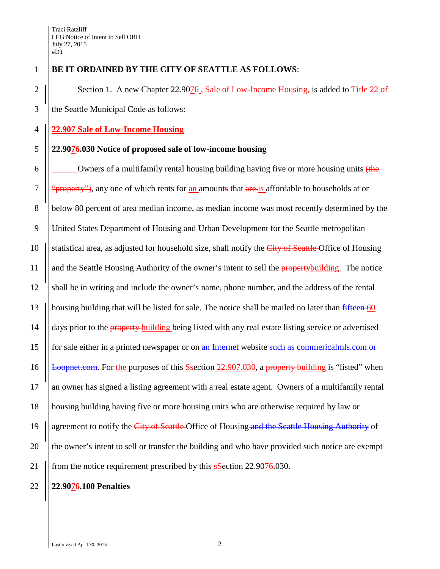## 1 **BE IT ORDAINED BY THE CITY OF SEATTLE AS FOLLOWS**:

2  $\parallel$  Section 1. A new Chapter 22.9076 <del>, Sale of Low-Income Housing, i</del>s added to Title 22 of 3 the Seattle Municipal Code as follows:

## 4 **22.907 Sale of Low-Income Housing**

## 5 **22.9076.030 Notice of proposed sale of low-income housing**

6  $\vert$  Owners of a multifamily rental housing building having five or more housing units (the 7  $\frac{1}{2}$  "property"), any one of which rents for an amounts that are is affordable to households at or 8 below 80 percent of area median income, as median income was most recently determined by the 9 United States Department of Housing and Urban Development for the Seattle metropolitan 10  $\parallel$  statistical area, as adjusted for household size, shall notify the City of Seattle-Office of Housing 11 | and the Seattle Housing Authority of the owner's intent to sell the property building. The notice 12 shall be in writing and include the owner's name, phone number, and the address of the rental 13 || housing building that will be listed for sale. The notice shall be mailed no later than  $\frac{fifteen}{f}$  60 14 | days prior to the **property** building being listed with any real estate listing service or advertised 15 | for sale either in a printed newspaper or on an Internet-website such as commericalmls.com or 16  $\left|\right|$  Loopnet.com. For the purposes of this S-section 22.907.030, a property building is "listed" when 17 an owner has signed a listing agreement with a real estate agent. Owners of a multifamily rental 18 housing building having five or more housing units who are otherwise required by law or 19  $\frac{1}{9}$  agreement to notify the City of Seattle-Office of Housing-and the Seattle-Housing Authority of 20 the owner's intent to sell or transfer the building and who have provided such notice are exempt 21 | from the notice requirement prescribed by this **sSection 22.9076.030.** 

## 22 **22.9076.100 Penalties**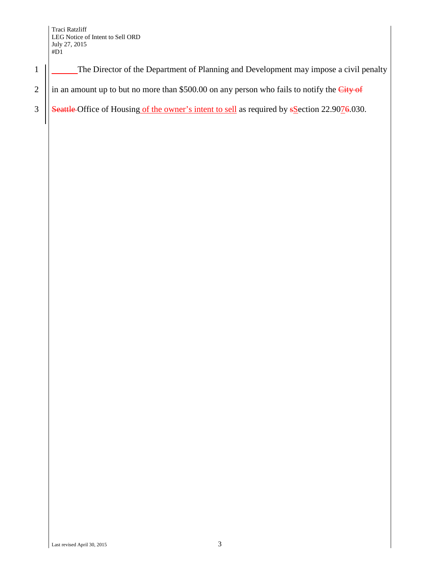1 | The Director of the Department of Planning and Development may impose a civil penalty

2 | in an amount up to but no more than \$500.00 on any person who fails to notify the  $City$  of

3  $\left|\right|$  Seattle Office of Housing of the owner's intent to sell as required by sSection 22.9076.030.